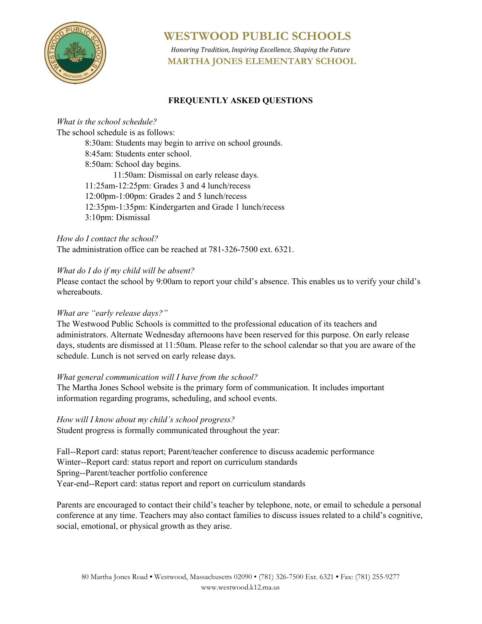

# **WESTWOOD PUBLIC SCHOOLS**

*Honoring Tradition, Inspiring Excellence, Shaping the Future* **MARTHA JONES ELEMENTARY SCHOOL**

## **FREQUENTLY ASKED QUESTIONS**

# *What is the school schedule?*

The school schedule is as follows: 8:30am: Students may begin to arrive on school grounds. 8:45am: Students enter school. 8:50am: School day begins. 11:50am: Dismissal on early release days. 11:25am12:25pm: Grades 3 and 4 lunch/recess 12:00pm1:00pm: Grades 2 and 5 lunch/recess 12:35pm1:35pm: Kindergarten and Grade 1 lunch/recess 3:10pm: Dismissal

## *How do I contact the school?*

The administration office can be reached at  $781-326-7500$  ext. 6321.

## *What do I do if my child will be absent?*

Please contact the school by 9:00am to report your child's absence. This enables us to verify your child's whereabouts.

## *What are "early release days?"*

The Westwood Public Schools is committed to the professional education of its teachers and administrators. Alternate Wednesday afternoons have been reserved for this purpose. On early release days, students are dismissed at 11:50am. Please refer to the school calendar so that you are aware of the schedule. Lunch is not served on early release days.

## *What general communication will I have from the school?*

The Martha Jones School website is the primary form of communication. It includes important information regarding programs, scheduling, and school events.

*How will I know about my child's school progress?*

Student progress is formally communicated throughout the year:

Fall--Report card: status report; Parent/teacher conference to discuss academic performance Winter--Report card: status report and report on curriculum standards Spring--Parent/teacher portfolio conference Year-end--Report card: status report and report on curriculum standards

Parents are encouraged to contact their child's teacher by telephone, note, or email to schedule a personal conference at any time. Teachers may also contact families to discuss issues related to a child's cognitive, social, emotional, or physical growth as they arise.